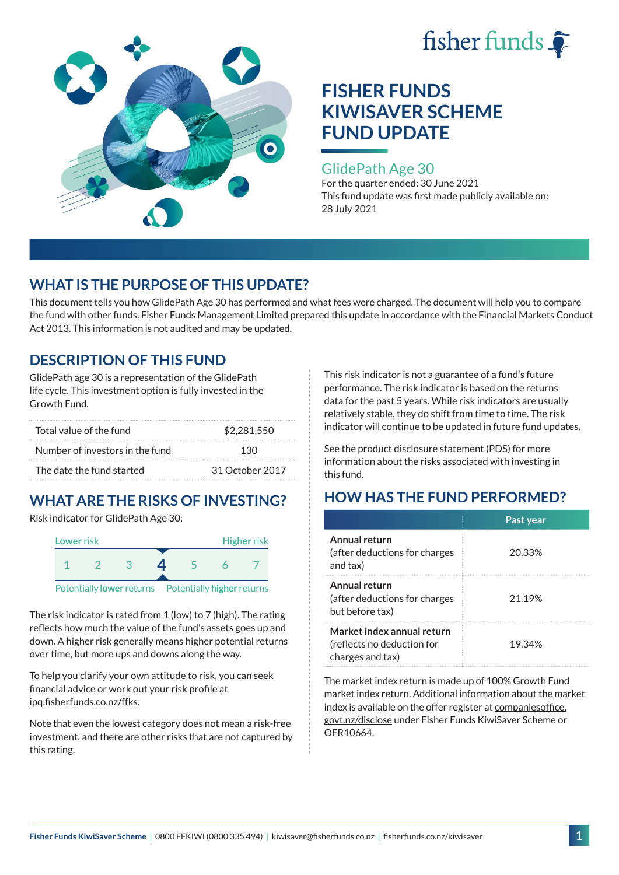



### GlidePath Age 30

For the quarter ended: 30 June 2021 This fund update was first made publicly available on: 28 July 2021

## **WHAT IS THE PURPOSE OF THIS UPDATE?**

This document tells you how GlidePath Age 30 has performed and what fees were charged. The document will help you to compare the fund with other funds. Fisher Funds Management Limited prepared this update in accordance with the Financial Markets Conduct Act 2013. This information is not audited and may be updated.

## **DESCRIPTION OF THIS FUND**

GlidePath age 30 is a representation of the GlidePath life cycle. This investment option is fully invested in the Growth Fund.

| Total value of the fund         | \$2.281.550     |  |
|---------------------------------|-----------------|--|
| Number of investors in the fund | 130             |  |
| The date the fund started       | 31 October 2017 |  |

# **WHAT ARE THE RISKS OF INVESTING?**

Risk indicator for GlidePath Age 30:



The risk indicator is rated from 1 (low) to 7 (high). The rating

reflects how much the value of the fund's assets goes up and down. A higher risk generally means higher potential returns over time, but more ups and downs along the way.

To help you clarify your own attitude to risk, you can seek financial advice or work out your risk profile at [ipq.fisherfunds.co.nz/ffks](https://ipq.fisherfunds.co.nz/ffks).

Note that even the lowest category does not mean a risk-free investment, and there are other risks that are not captured by this rating.

This risk indicator is not a guarantee of a fund's future performance. The risk indicator is based on the returns data for the past 5 years. While risk indicators are usually relatively stable, they do shift from time to time. The risk indicator will continue to be updated in future fund updates.

See the [product disclosure statement \(PDS\)](https://fisherfunds.co.nz/assets/PDS/Fisher-Funds-KiwiSaver-Scheme-PDS.pdf) for more information about the risks associated with investing in this fund.

# **HOW HAS THE FUND PERFORMED?**

|                                                                              | Past year |
|------------------------------------------------------------------------------|-----------|
| Annual return<br>(after deductions for charges<br>and tax)                   | 20.33%    |
| Annual return<br>(after deductions for charges<br>but before tax)            | 21.19%    |
| Market index annual return<br>(reflects no deduction for<br>charges and tax) | 19.34%    |

The market index return is made up of 100% Growth Fund market index return. Additional information about the market index is available on the offer register at [companiesoffice.](http://companiesoffice.govt.nz/disclose) [govt.nz/disclose](http://companiesoffice.govt.nz/disclose) under Fisher Funds KiwiSaver Scheme or OFR10664.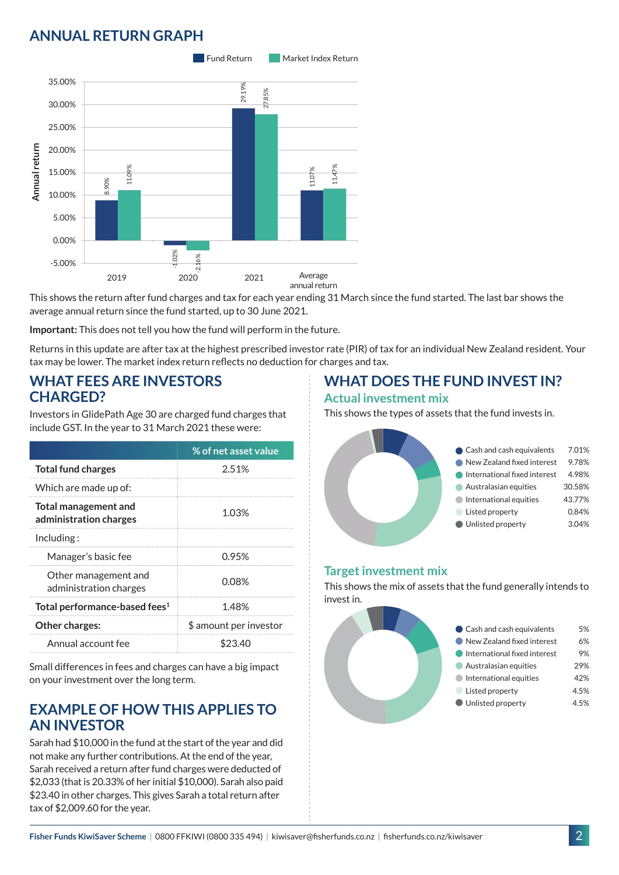## **ANNUAL RETURN GRAPH**



This shows the return after fund charges and tax for each year ending 31 March since the fund started. The last bar shows the average annual return since the fund started, up to 30 June 2021.

**Important:** This does not tell you how the fund will perform in the future.

Returns in this update are after tax at the highest prescribed investor rate (PIR) of tax for an individual New Zealand resident. Your tax may be lower. The market index return reflects no deduction for charges and tax.

### **WHAT FEES ARE INVESTORS CHARGED?**

Investors in GlidePath Age 30 are charged fund charges that include GST. In the year to 31 March 2021 these were:

|                                                | % of net asset value   |  |
|------------------------------------------------|------------------------|--|
| <b>Total fund charges</b>                      | 2.51%                  |  |
| Which are made up of:                          |                        |  |
| Total management and<br>administration charges | 1.03%                  |  |
| Inding:                                        |                        |  |
| Manager's basic fee                            | 0.95%                  |  |
| Other management and<br>administration charges | 0.08%                  |  |
| Total performance-based fees <sup>1</sup>      | 1.48%                  |  |
| <b>Other charges:</b>                          | \$ amount per investor |  |
| Annual account fee                             | \$23.40                |  |

Small differences in fees and charges can have a big impact on your investment over the long term.

### **EXAMPLE OF HOW THIS APPLIES TO AN INVESTOR**

Sarah had \$10,000 in the fund at the start of the year and did not make any further contributions. At the end of the year, Sarah received a return after fund charges were deducted of \$2,033 (that is 20.33% of her initial \$10,000). Sarah also paid \$23.40 in other charges. This gives Sarah a total return after tax of \$2,009.60 for the year.

# **WHAT DOES THE FUND INVEST IN?**

#### **Actual investment mix**

This shows the types of assets that the fund invests in.



### **Target investment mix**

This shows the mix of assets that the fund generally intends to invest in.